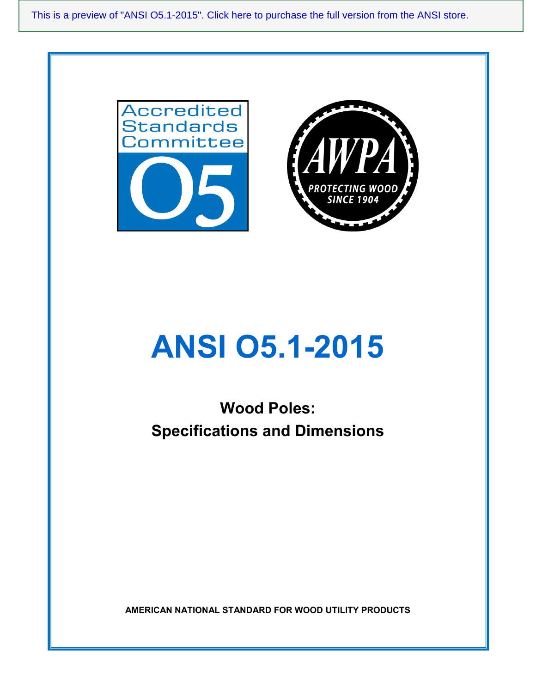[This is a preview of "ANSI O5.1-2015". Click here to purchase the full version from the ANSI store.](https://webstore.ansi.org/Standards/ANSI/ANSIO52015?source=preview)





# **ANSI O5.1-2015**

**Wood Poles: Specifications and Dimensions**

**AMERICAN NATIONAL STANDARD FOR WOOD UTILITY PRODUCTS**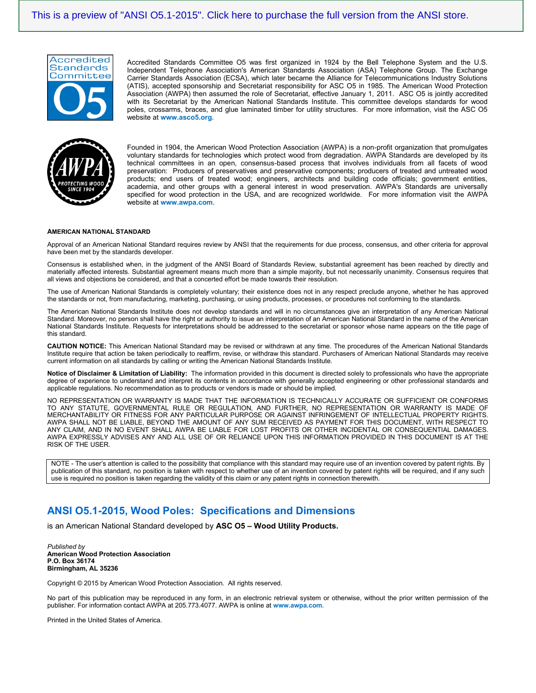

Accredited Standards Committee O5 was first organized in 1924 by the Bell Telephone System and the U.S. Independent Telephone Association's American Standards Association (ASA) Telephone Group. The Exchange Carrier Standards Association (ECSA), which later became the Alliance for Telecommunications Industry Solutions (ATIS), accepted sponsorship and Secretariat responsibility for ASC O5 in 1985. The American Wood Protection Association (AWPA) then assumed the role of Secretariat, effective January 1, 2011. ASC O5 is jointly accredited with its Secretariat by the American National Standards Institute. This committee develops standards for wood poles, crossarms, braces, and glue laminated timber for utility structures. For more information, visit the ASC O5 website at **www.asco5.org**.



Founded in 1904, the American Wood Protection Association (AWPA) is a non-profit organization that promulgates voluntary standards for technologies which protect wood from degradation. AWPA Standards are developed by its technical committees in an open, consensus-based process that involves individuals from all facets of wood preservation: Producers of preservatives and preservative components; producers of treated and untreated wood products; end users of treated wood; engineers, architects and building code officials; government entities, academia, and other groups with a general interest in wood preservation. AWPA's Standards are universally specified for wood protection in the USA, and are recognized worldwide. For more information visit the AWPA website at **www.awpa.com**.

#### **AMERICAN NATIONAL STANDARD**

Approval of an American National Standard requires review by ANSI that the requirements for due process, consensus, and other criteria for approval have been met by the standards developer.

Consensus is established when, in the judgment of the ANSI Board of Standards Review, substantial agreement has been reached by directly and materially affected interests. Substantial agreement means much more than a simple majority, but not necessarily unanimity. Consensus requires that all views and objections be considered, and that a concerted effort be made towards their resolution.

The use of American National Standards is completely voluntary; their existence does not in any respect preclude anyone, whether he has approved the standards or not, from manufacturing, marketing, purchasing, or using products, processes, or procedures not conforming to the standards.

The American National Standards Institute does not develop standards and will in no circumstances give an interpretation of any American National Standard. Moreover, no person shall have the right or authority to issue an interpretation of an American National Standard in the name of the American National Standards Institute. Requests for interpretations should be addressed to the secretariat or sponsor whose name appears on the title page of this standard.

**CAUTION NOTICE:** This American National Standard may be revised or withdrawn at any time. The procedures of the American National Standards Institute require that action be taken periodically to reaffirm, revise, or withdraw this standard. Purchasers of American National Standards may receive current information on all standards by calling or writing the American National Standards Institute.

**Notice of Disclaimer & Limitation of Liability:** The information provided in this document is directed solely to professionals who have the appropriate degree of experience to understand and interpret its contents in accordance with generally accepted engineering or other professional standards and applicable regulations. No recommendation as to products or vendors is made or should be implied.

NO REPRESENTATION OR WARRANTY IS MADE THAT THE INFORMATION IS TECHNICALLY ACCURATE OR SUFFICIENT OR CONFORMS TO ANY STATUTE, GOVERNMENTAL RULE OR REGULATION, AND FURTHER, NO REPRESENTATION OR WARRANTY IS MADE OF MERCHANTABILITY OR FITNESS FOR ANY PARTICULAR PURPOSE OR AGAINST INFRINGEMENT OF INTELLECTUAL PROPERTY RIGHTS. AWPA SHALL NOT BE LIABLE, BEYOND THE AMOUNT OF ANY SUM RECEIVED AS PAYMENT FOR THIS DOCUMENT, WITH RESPECT TO ANY CLAIM, AND IN NO EVENT SHALL AWPA BE LIABLE FOR LOST PROFITS OR OTHER INCIDENTAL OR CONSEQUENTIAL DAMAGES. AWPA EXPRESSLY ADVISES ANY AND ALL USE OF OR RELIANCE UPON THIS INFORMATION PROVIDED IN THIS DOCUMENT IS AT THE RISK OF THE USER.

NOTE - The user's attention is called to the possibility that compliance with this standard may require use of an invention covered by patent rights. By publication of this standard, no position is taken with respect to whether use of an invention covered by patent rights will be required, and if any such use is required no position is taken regarding the validity of this claim or any patent rights in connection therewith.

## **ANSI O5.1-2015, Wood Poles: Specifications and Dimensions**

is an American National Standard developed by **ASC O5 – Wood Utility Products.** 

*Published by*  **American Wood Protection Association P.O. Box 36174 Birmingham, AL 35236** 

Copyright © 2015 by American Wood Protection Association. All rights reserved.

No part of this publication may be reproduced in any form, in an electronic retrieval system or otherwise, without the prior written permission of the publisher. For information contact AWPA at 205.773.4077. AWPA is online at **www.awpa.com**.

Printed in the United States of America.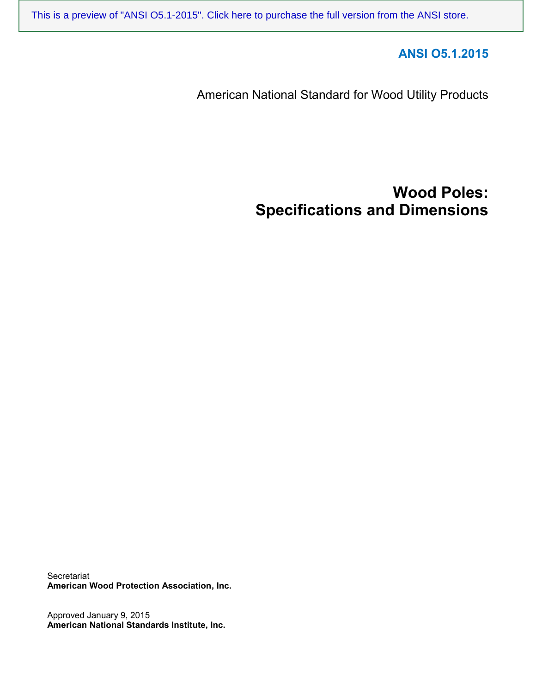# **ANSI O5.1.2015**

American National Standard for Wood Utility Products

**Wood Poles: Specifications and Dimensions** 

Secretariat **American Wood Protection Association, Inc.** 

Approved January 9, 2015 **American National Standards Institute, Inc.**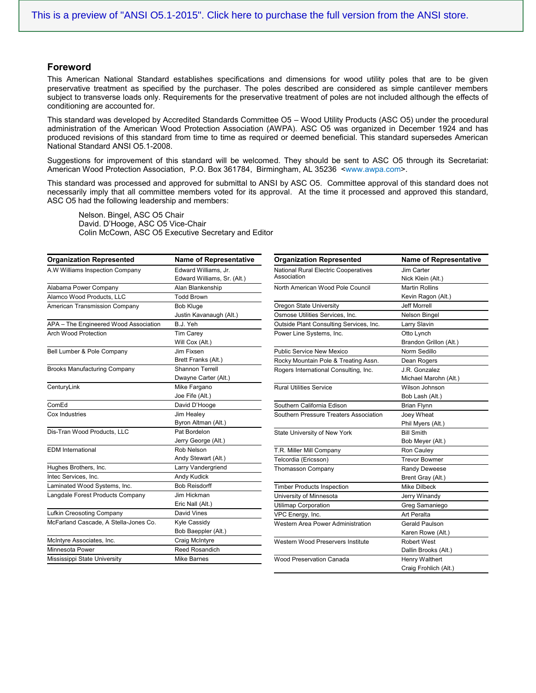### **Foreword**

This American National Standard establishes specifications and dimensions for wood utility poles that are to be given preservative treatment as specified by the purchaser. The poles described are considered as simple cantilever members subject to transverse loads only. Requirements for the preservative treatment of poles are not included although the effects of conditioning are accounted for.

This standard was developed by Accredited Standards Committee O5 – Wood Utility Products (ASC O5) under the procedural administration of the American Wood Protection Association (AWPA). ASC O5 was organized in December 1924 and has produced revisions of this standard from time to time as required or deemed beneficial. This standard supersedes American National Standard ANSI O5.1-2008.

Suggestions for improvement of this standard will be welcomed. They should be sent to ASC O5 through its Secretariat: American Wood Protection Association, P.O. Box 361784, Birmingham, AL 35236 <www.awpa.com>.

This standard was processed and approved for submittal to ANSI by ASC O5. Committee approval of this standard does not necessarily imply that all committee members voted for its approval. At the time it processed and approved this standard, ASC O5 had the following leadership and members:

Nelson. Bingel, ASC O5 Chair David. D'Hooge, ASC O5 Vice-Chair Colin McCown, ASC O5 Executive Secretary and Editor

| <b>Organization Represented</b>       | <b>Name of Representative</b>                       | <b>Organization Represented</b>                     | <b>Name of Representative</b>           |
|---------------------------------------|-----------------------------------------------------|-----------------------------------------------------|-----------------------------------------|
| A.W Williams Inspection Company       | Edward Williams, Jr.<br>Edward Williams, Sr. (Alt.) | National Rural Electric Cooperatives<br>Association | Jim Carter<br>Nick Klein (Alt.)         |
| Alabama Power Company                 | Alan Blankenship                                    | North American Wood Pole Council                    | <b>Martin Rollins</b>                   |
| Alamco Wood Products, LLC             | <b>Todd Brown</b>                                   |                                                     | Kevin Ragon (Alt.)                      |
| American Transmission Company         | <b>Bob Kluge</b>                                    | Oregon State University                             | <b>Jeff Morrell</b>                     |
|                                       | Justin Kavanaugh (Alt.)                             | Osmose Utilities Services, Inc.                     | Nelson Bingel                           |
| APA - The Engineered Wood Association | B.J. Yeh                                            | Outside Plant Consulting Services, Inc.             | Larry Slavin                            |
| <b>Arch Wood Protection</b>           | <b>Tim Carev</b><br>Will Cox (Alt.)                 | Power Line Systems, Inc.                            | Otto Lynch<br>Brandon Grillon (Alt.)    |
| Bell Lumber & Pole Company            | Jim Fixsen                                          | <b>Public Service New Mexico</b>                    | Norm Sedillo                            |
|                                       | Brett Franks (Alt.)                                 | Rocky Mountain Pole & Treating Assn.                | Dean Rogers                             |
| <b>Brooks Manufacturing Company</b>   | Shannon Terrell<br>Dwayne Carter (Alt.)             | Rogers International Consulting, Inc.               | J.R. Gonzalez<br>Michael Marohn (Alt.)  |
| CenturyLink                           | Mike Fargano<br>Joe Fife (Alt.)                     | <b>Rural Utilities Service</b>                      | Wilson Johnson<br>Bob Lash (Alt.)       |
| ComEd                                 | David D'Hooge                                       | Southern California Edison                          | <b>Brian Flynn</b>                      |
| Cox Industries                        | Jim Healey<br>Byron Altman (Alt.)                   | Southern Pressure Treaters Association              | Joey Wheat<br>Phil Myers (Alt.)         |
| Dis-Tran Wood Products, LLC           | Pat Bordelon<br>Jerry George (Alt.)                 | State University of New York                        | <b>Bill Smith</b><br>Bob Meyer (Alt.)   |
| <b>EDM</b> International              | Rob Nelson                                          | T.R. Miller Mill Company                            | Ron Cauley                              |
|                                       | Andy Stewart (Alt.)                                 | Telcordia (Ericsson)                                | <b>Trevor Bowmer</b>                    |
| Hughes Brothers, Inc.                 | Larry Vandergriend                                  | <b>Thomasson Company</b>                            | Randy Deweese                           |
| Intec Services, Inc.                  | Andy Kudick                                         |                                                     | Brent Gray (Alt.)                       |
| Laminated Wood Systems, Inc.          | <b>Bob Reisdorff</b>                                | <b>Timber Products Inspection</b>                   | <b>Mike Dilbeck</b>                     |
| Langdale Forest Products Company      | Jim Hickman                                         | University of Minnesota                             | Jerry Winandy                           |
|                                       | Eric Nall (Alt.)                                    | <b>Utilimap Corporation</b>                         | Greg Samaniego                          |
| Lufkin Creosoting Company             | David Vines                                         | VPC Energy, Inc.                                    | Art Peralta                             |
| McFarland Cascade, A Stella-Jones Co. | Kyle Cassidy<br>Bob Baeppler (Alt.)                 | Western Area Power Administration                   | Gerald Paulson<br>Karen Rowe (Alt.)     |
| McIntyre Associates, Inc.             | Craig McIntyre                                      | Western Wood Preservers Institute                   | <b>Robert West</b>                      |
| Minnesota Power                       | Reed Rosandich                                      |                                                     | Dallin Brooks (Alt.)                    |
| Mississippi State University          | <b>Mike Barnes</b>                                  | Wood Preservation Canada                            | Henry Walthert<br>Craig Frohlich (Alt.) |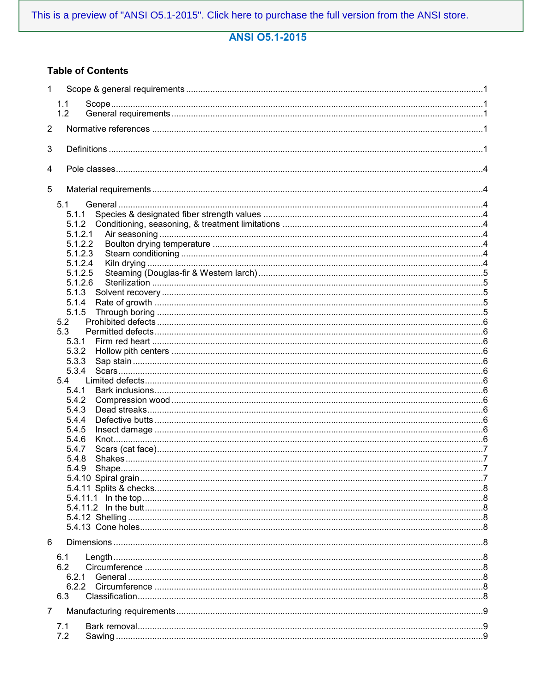# **ANSI 05.1-2015**

# **Table of Contents**

| 1              |                    |  |
|----------------|--------------------|--|
|                | 1.1                |  |
|                | 1.2                |  |
| $\overline{2}$ |                    |  |
|                |                    |  |
| 3              |                    |  |
|                |                    |  |
| 4              |                    |  |
| 5              |                    |  |
|                |                    |  |
|                | 5.1<br>5.1.1       |  |
|                | 5.1.2              |  |
|                | 5.1.2.1            |  |
|                | 5.1.2.2            |  |
|                | 5.1.2.3            |  |
|                | 5.1.2.4            |  |
|                | 5.1.2.5<br>5.1.2.6 |  |
|                | 5.1.3              |  |
|                | 5.1.4              |  |
|                | 5.1.5              |  |
|                | 5.2                |  |
|                | 5.3                |  |
|                | 5.3.1              |  |
|                | 5.3.2<br>5.3.3     |  |
|                | 5.3.4              |  |
|                | 5.4                |  |
|                | 5.4.1              |  |
|                | 5.4.2              |  |
|                | 5.4.3              |  |
|                | 5.4.4<br>5.4.5     |  |
|                | 5.4.6              |  |
|                | 5.4.7              |  |
|                | 5.4.8              |  |
|                | 5.4.9              |  |
|                |                    |  |
|                |                    |  |
|                |                    |  |
|                |                    |  |
|                |                    |  |
| 6              |                    |  |
|                |                    |  |
|                | 6.1                |  |
|                | 6.2<br>6.2.1       |  |
|                |                    |  |
|                | 6.3                |  |
| 7              |                    |  |
|                |                    |  |
|                | 7.1<br>7.2         |  |
|                |                    |  |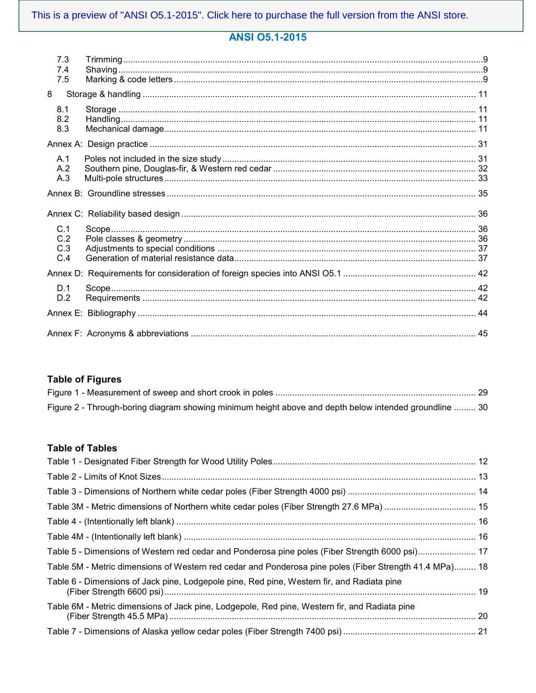# **ANSI 05.1-2015**

| 7.3<br>7.4<br>7.5        |    |
|--------------------------|----|
| 8                        |    |
| 8.1<br>8.2<br>8.3        |    |
|                          |    |
| A.1<br>A.2<br>A.3        |    |
|                          |    |
|                          |    |
| C.1<br>C.2<br>C.3<br>C.4 |    |
|                          |    |
| D.1<br>D.2               |    |
|                          |    |
|                          | 45 |

# **Table of Figures**

| Figure 2 - Through-boring diagram showing minimum height above and depth below intended groundline  30 |  |
|--------------------------------------------------------------------------------------------------------|--|

# **Table of Tables**

| Table 3M - Metric dimensions of Northern white cedar poles (Fiber Strength 27.6 MPa)  15                |  |
|---------------------------------------------------------------------------------------------------------|--|
|                                                                                                         |  |
|                                                                                                         |  |
| Table 5 - Dimensions of Western red cedar and Ponderosa pine poles (Fiber Strength 6000 psi) 17         |  |
| Table 5M - Metric dimensions of Western red cedar and Ponderosa pine poles (Fiber Strength 41.4 MPa) 18 |  |
| Table 6 - Dimensions of Jack pine, Lodgepole pine, Red pine, Western fir, and Radiata pine              |  |
| Table 6M - Metric dimensions of Jack pine, Lodgepole, Red pine, Western fir, and Radiata pine           |  |
|                                                                                                         |  |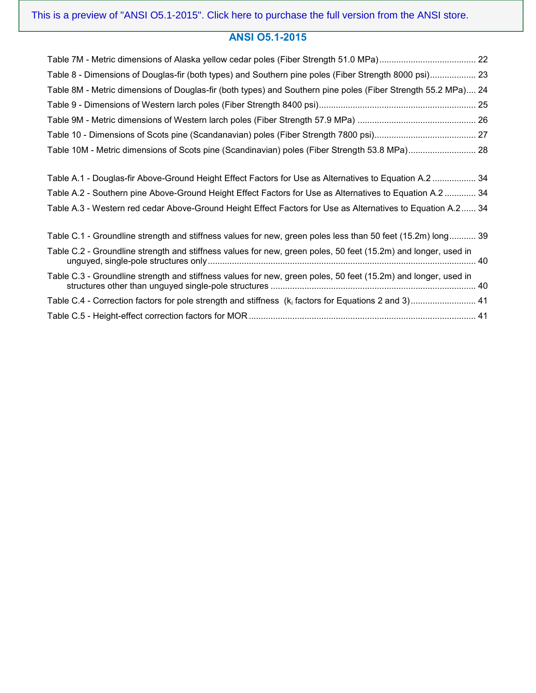[This is a preview of "ANSI O5.1-2015". Click here to purchase the full version from the ANSI store.](https://webstore.ansi.org/Standards/ANSI/ANSIO52015?source=preview)

# **ANSI O5.1-2015**

| Table 7M - Metric dimensions of Alaska yellow cedar poles (Fiber Strength 51.0 MPa) 22                           |
|------------------------------------------------------------------------------------------------------------------|
| Table 8 - Dimensions of Douglas-fir (both types) and Southern pine poles (Fiber Strength 8000 psi) 23            |
| Table 8M - Metric dimensions of Douglas-fir (both types) and Southern pine poles (Fiber Strength 55.2 MPa) 24    |
|                                                                                                                  |
|                                                                                                                  |
|                                                                                                                  |
| Table 10M - Metric dimensions of Scots pine (Scandinavian) poles (Fiber Strength 53.8 MPa) 28                    |
|                                                                                                                  |
| Table A.1 - Douglas-fir Above-Ground Height Effect Factors for Use as Alternatives to Equation A.2  34           |
| Table A.2 - Southern pine Above-Ground Height Effect Factors for Use as Alternatives to Equation A.2  34         |
| Table A.3 - Western red cedar Above-Ground Height Effect Factors for Use as Alternatives to Equation A.2 34      |
|                                                                                                                  |
| Table C.1 - Groundline strength and stiffness values for new, green poles less than 50 feet (15.2m) long 39      |
| Table C.2 - Groundline strength and stiffness values for new, green poles, 50 feet (15.2m) and longer, used in   |
| Table C.3 - Groundline strength and stiffness values for new, green poles, 50 feet (15.2m) and longer, used in   |
| Table C.4 - Correction factors for pole strength and stiffness (k <sub>i</sub> factors for Equations 2 and 3) 41 |
|                                                                                                                  |